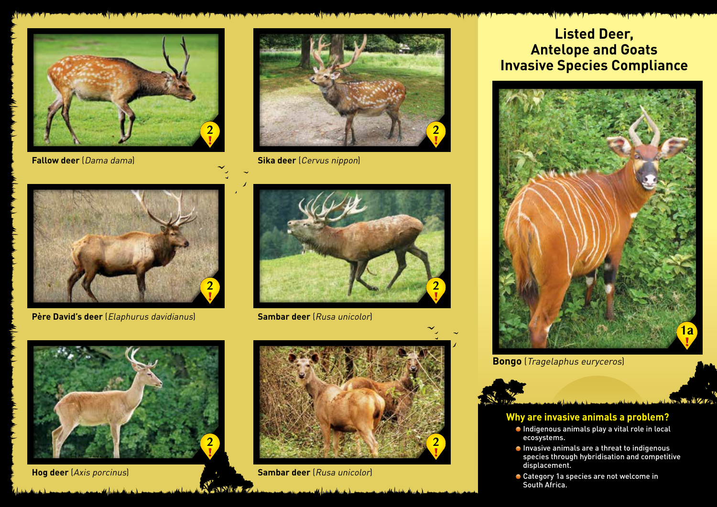







**Père David's deer** (Elaphurus davidianus)



**Sambar deer** [Rusa unicolor]





**Hog deer** (Axis porcinus) **Sambar deer** (Rusa unicolor)

دسال گرینگاه باشناسار باشد

**EXIMA** 

## **Listed Deer, Antelope and Goats Invasive Species Compliance**



**Bongo** (Tragelaphus euryceros)

## **Why are invasive animals a problem?**

- Indigenous animals play a vital role in local ecosystems.
- Invasive animals are a threat to indigenous species through hybridisation and competitive displacement.

No. M. AZIZ

● Category 1a species are not welcome in South Africa.